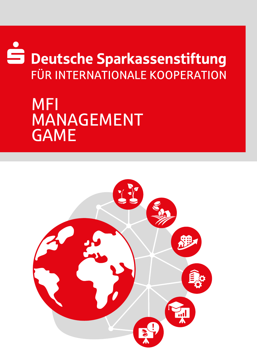# Deutsche Sparkassenstiftung FÜR INTERNATIONALE KOOPERATION

## MFI MANAGEMENT GAME

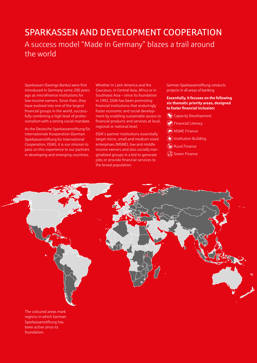#### SPARKASSEN AND DEVELOPMENT COOPERATION A success model "Made in Germany" blazes a trail around the world

Sparkassen (Savings Banks) were first introduced in Germany some 200 years ago as microfinance institutions for low-income earners. Since then, they have evolved into one of the largest financial groups in the world, successfully combining a high level of professionalism with a strong social mandate.

As the Deutsche Sparkassenstiftung für internationale Kooperation (German Sparkassenstiftung for International Cooperation, DSIK), it is our mission to pass on this experience to our partners in developing and emerging countries.

Whether in Latin America and the Caucasus, in Central Asia, Africa or in Southeast Asia – since its foundation in 1992, DSIK has been promoting financial institutions that enduringly foster economic and social development by enabling sustainable access to financial products and services at local, regional or national level.

DSIK's partner institutions essentially target micro, small and medium-sized enterprises (MSME), low and middle income earners and also socially marginalized groups in a bid to generate jobs or provide financial services to the broad population.

German Sparkassenstiftung conducts projects in all areas of banking

#### **Essentially, it focuses on the following six thematic priority areas, designed to foster financial inclusion:**

- **(動)** Capacity Development
- **(B)** Financial Literacy
- **(ab)** MSME Finance
- $\left(\widehat{\mathbf{B}}\right)$  Institution Building
- Rural Finance
- Green Finance



regions in which German Sparkassenstiftung has been active since its foundation.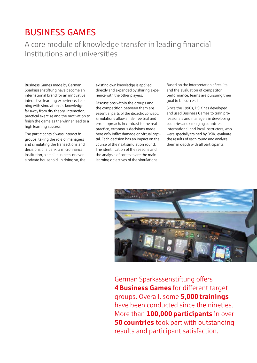#### BUSINESS GAMES

A core module of knowledge transfer in leading financial institutions and universities

Business Games made by German Sparkassenstiftung have become an international brand for an innovative interactive learning experience. Learning with simulations is knowledge far away from dry theory. Interaction, practical exercise and the motivation to finish the game as the winner lead to a high learning success.

The participants always interact in groups, taking the role of managers and simulating the transactions and decisions of a bank, a microfinance institution, a small business or even a private household. In doing so, the

existing own knowledge is applied directly and expanded by sharing experience with the other players.

Discussions within the groups and the competition between them are essential parts of the didactic concept. Simulations allow a risk-free trial and error approach. In contrast to the real practice, erroneous decisions made here only inflict damage on virtual capital. Each decision has an impact on the course of the next simulation round. The identification of the reasons and the analysis of contexts are the main learning objectives of the simulations.

Based on the interpretation of results and the evaluation of competitor performance, teams are pursuing their goal to be successful.

Since the 1990s, DSIK has developed and used Business Games to train professionals and managers in developing countries and emerging countries. International and local instructors, who were specially trained by DSIK, evaluate the results of each round and analyze them in depth with all participants.



German Sparkassenstiftung offers **4Business Games** for different target groups. Overall, some **5,000 trainings** have been conducted since the nineties. More than **100,000 participants** in over **50 countries** took part with outstanding results and participant satisfaction.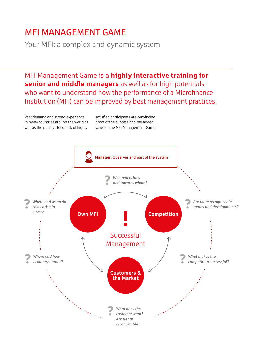#### MFI MANAGEMENT GAME

Your MFI: a complex and dynamic system

MFI Management Game is a **highly interactive training for senior and middle managers** as well as for high potentials who want to understand how the performance of a Microfinance Institution (MFI) can be improved by best management practices.

Vast demand and strong experience in many countries around the world as well as the positive feedback of highly

satisfied participants are convincing proof of the success and the added value of the MFI Management Game.

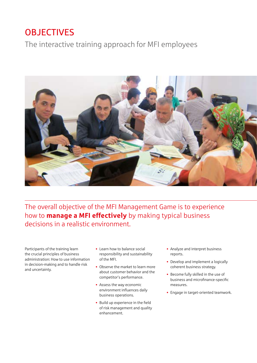### **OBJECTIVES**

The interactive training approach for MFI employees



The overall objective of the MFI Management Game is to experience how to **manage a MFI effectively** by making typical business decisions in a realistic environment.

Participants of the training learn the crucial principles of business administration: How to use information in decision-making and to handle risk and uncertainty.

- Learn how to balance social responsibility and sustainability of the MFI.
- Observe the market to learn more about customer behavior and the competitor's performance.
- Assess the way economic environment influences daily business operations.
- Build up experience in the field of risk management and quality enhancement.
- Analyze and interpret business reports.
- Develop and implement a logically coherent business strategy.
- Become fully skilled in the use of business and microfinance-specific measures.
- Engage in target-oriented teamwork.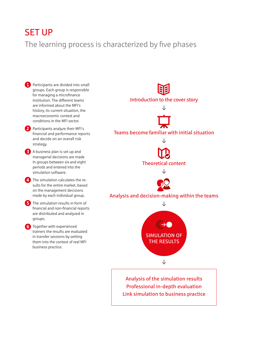#### SET UP

The learning process is characterized by five phases

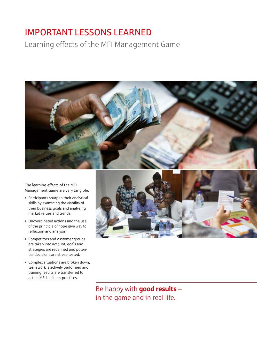### IMPORTANT LESSONS LEARNED

Learning effects of the MFI Management Game



The learning effects of the MFI Management Game are very tangible.

- Participants sharpen their analytical skills by examining the viability of their business goals and analyzing market values and trends.
- Uncoordinated actions and the use of the principle of hope give way to reflection and analysis.
- Competitors and customer groups are taken into account, goals and strategies are redefined and potential decisions are stress-tested.
- Complex situations are broken down, team work is actively performed and training results are transferred to actual MFI business practices.



Be happy with **good results** in the game and in real life.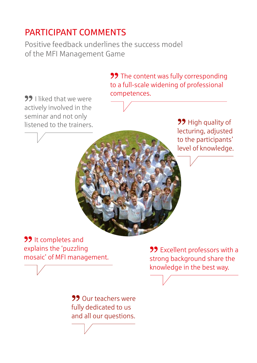## PARTICIPANT COMMENTS

Positive feedback underlines the success model of the MFI Management Game

> **99** The content was fully corresponding to a full-scale widening of professional competences.

**22** I liked that we were actively involved in the seminar and not only listened to the trainers.

**99** High quality of lecturing, adjusted to the participants' level of knowledge.

**99** It completes and explains the 'puzzling mosaic' of MFI management.

> **99** Our teachers were fully dedicated to us and all our questions.

**99** Excellent professors with a strong background share the knowledge in the best way.